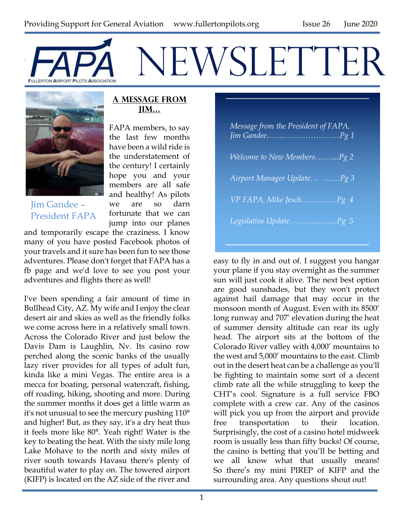# FAPA NEWSLETTE



Jim Gandee – President FAPA

#### **A Message from Jim…**

FAPA members, to say the last few months have been a wild ride is the understatement of the century! I certainly hope you and your members are all safe and healthy! As pilots we are so darn fortunate that we can jump into our planes

and temporarily escape the craziness. I know many of you have posted Facebook photos of your travels and it sure has been fun to see those adventures. Please don't forget that FAPA has a fb page and we'd love to see you post your adventures and flights there as well!

I've been spending a fair amount of time in Bullhead City, AZ. My wife and I enjoy the clear desert air and skies as well as the friendly folks we come across here in a relatively small town. Across the Colorado River and just below the Davis Dam is Laughlin, Nv. Its casino row perched along the scenic banks of the usually lazy river provides for all types of adult fun, kinda like a mini Vegas. The entire area is a mecca for boating, personal watercraft, fishing, off roading, hiking, shooting and more. During the summer months it does get a little warm as it's not unusual to see the mercury pushing 110° and higher! But, as they say, it's a dry heat thus it feels more like 80°. Yeah right! Water is the key to beating the heat. With the sixty mile long Lake Mohave to the north and sixty miles of river south towards Havasu there's plenty of beautiful water to play on. The towered airport (KIFP) is located on the AZ side of the river and

| Message from the President of FAPA, |
|-------------------------------------|
| <i>Welcome to New MembersPg 2</i>   |
| Airport Manager Update Pg 3         |
| VP FAPA, Mike JeschPg 4             |
| Legislative UpdatePg 5              |

easy to fly in and out of. I suggest you hangar your plane if you stay overnight as the summer sun will just cook it alive. The next best option are good sunshades, but they won't protect against hail damage that may occur in the monsoon month of August. Even with its 8500' long runway and 707' elevation during the heat of summer density altitude can rear its ugly head. The airport sits at the bottom of the Colorado River valley with 4,000' mountains to the west and 5,000' mountains to the east. Climb out in the desert heat can be a challenge as you'll be fighting to maintain some sort of a decent climb rate all the while struggling to keep the CHT's cool. Signature is a full service FBO complete with a crew car. Any of the casinos will pick you up from the airport and provide free transportation to their location. Surprisingly, the cost of a casino hotel midweek room is usually less than fifty bucks! Of course, the casino is betting that you'll be betting and we all know what that usually means! So there's my mini PIREP of KIFP and the surrounding area. Any questions shout out!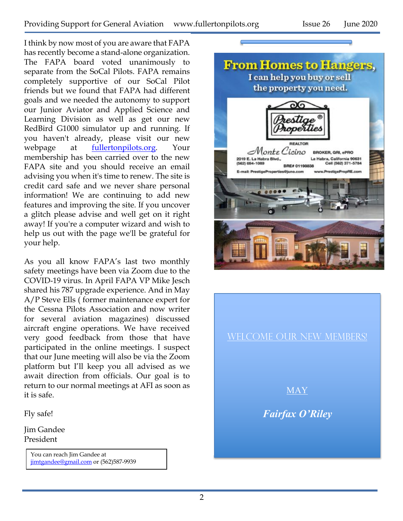I think by now most of you are aware that FAPA has recently become a stand-alone organization. The FAPA board voted unanimously to separate from the SoCal Pilots. FAPA remains completely supportive of our SoCal Pilot friends but we found that FAPA had different goals and we needed the autonomy to support our Junior Aviator and Applied Science and Learning Division as well as get our new RedBird G1000 simulator up and running. If you haven't already, please visit our new webpage at fullertonpilots.org. Your membership has been carried over to the new FAPA site and you should receive an email advising you when it's time to renew. The site is credit card safe and we never share personal information! We are continuing to add new features and improving the site. If you uncover a glitch please advise and well get on it right away! If you're a computer wizard and wish to help us out with the page we'll be grateful for your help.

As you all know FAPA's last two monthly safety meetings have been via Zoom due to the COVID-19 virus. In April FAPA VP Mike Jesch shared his 787 upgrade experience. And in May A/P Steve Ells ( former maintenance expert for the Cessna Pilots Association and now writer for several aviation magazines) discussed aircraft engine operations. We have received very good feedback from those that have participated in the online meetings. I suspect that our June meeting will also be via the Zoom platform but I'll keep you all advised as we await direction from officials. Our goal is to return to our normal meetings at AFI as soon as it is safe.

Fly safe!

Jim Gandee President

> You can reach Jim Gandee at jimtgandee@gmail.com or (562)587-9939



#### WELCOME OUR NEW MEMBERS!

MAY

*Fairfax O'Riley*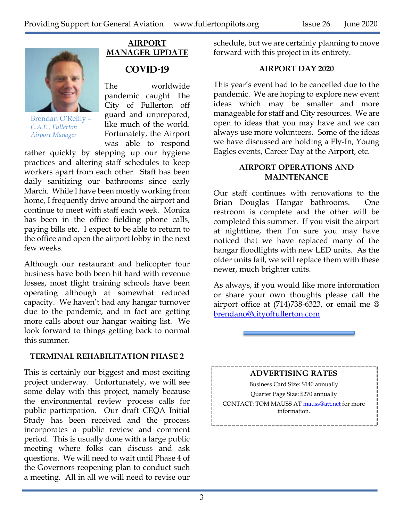

Brendan O'Reilly – *C.A.E., Fullerton Airport Manager*

### **AIRPORT MANAGER UPDATE COVID-19**

The worldwide pandemic caught The City of Fullerton off guard and unprepared, like much of the world. Fortunately, the Airport was able to respond

rather quickly by stepping up our hygiene practices and altering staff schedules to keep workers apart from each other. Staff has been daily sanitizing our bathrooms since early March. While I have been mostly working from home, I frequently drive around the airport and continue to meet with staff each week. Monica has been in the office fielding phone calls, paying bills etc. I expect to be able to return to the office and open the airport lobby in the next few weeks.

Although our restaurant and helicopter tour business have both been hit hard with revenue losses, most flight training schools have been operating although at somewhat reduced capacity. We haven't had any hangar turnover due to the pandemic, and in fact are getting more calls about our hangar waiting list. We look forward to things getting back to normal this summer.

#### **TERMINAL REHABILITATION PHASE 2**

This is certainly our biggest and most exciting project underway. Unfortunately, we will see some delay with this project, namely because the environmental review process calls for public participation. Our draft CEQA Initial Study has been received and the process incorporates a public review and comment period. This is usually done with a large public meeting where folks can discuss and ask questions. We will need to wait until Phase 4 of the Governors reopening plan to conduct such a meeting. All in all we will need to revise our schedule, but we are certainly planning to move forward with this project in its entirety.

#### **AIRPORT DAY 2020**

This year's event had to be cancelled due to the pandemic. We are hoping to explore new event ideas which may be smaller and more manageable for staff and City resources. We are open to ideas that you may have and we can always use more volunteers. Some of the ideas we have discussed are holding a Fly-In, Young Eagles events, Career Day at the Airport, etc.

#### **AIRPORT OPERATIONS AND MAINTENANCE**

Our staff continues with renovations to the Brian Douglas Hangar bathrooms. One restroom is complete and the other will be completed this summer. If you visit the airport at nighttime, then I'm sure you may have noticed that we have replaced many of the hangar floodlights with new LED units. As the older units fail, we will replace them with these newer, much brighter units.

As always, if you would like more information or share your own thoughts please call the airport office at (714)738-6323, or email me @ brendano@cityoffullerton.com

#### **ADVERTISING RATES**

Business Card Size: \$140 annually

Quarter Page Size: \$270 annually

CONTACT: TOM MAUSS AT mauss@att.net for more information.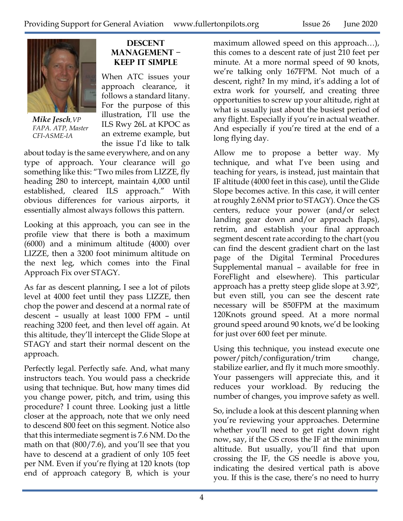

*Mike Jesch,VP FAPA. ATP, Master CFI-ASME-IA*

#### **Descent Management – Keep It Simple**

When ATC issues your approach clearance, it follows a standard litany. For the purpose of this illustration, I'll use the ILS Rwy 26L at KPOC as an extreme example, but the issue I'd like to talk

about today is the same everywhere, and on any type of approach. Your clearance will go something like this: "Two miles from LIZZE, fly heading 280 to intercept, maintain 4,000 until established, cleared ILS approach." With obvious differences for various airports, it essentially almost always follows this pattern.

Looking at this approach, you can see in the profile view that there is both a maximum (6000) and a minimum altitude (4000) over LIZZE, then a 3200 foot minimum altitude on the next leg, which comes into the Final Approach Fix over STAGY.

As far as descent planning, I see a lot of pilots level at 4000 feet until they pass LIZZE, then chop the power and descend at a normal rate of descent – usually at least 1000 FPM – until reaching 3200 feet, and then level off again. At this altitude, they'll intercept the Glide Slope at STAGY and start their normal descent on the approach.

Perfectly legal. Perfectly safe. And, what many instructors teach. You would pass a checkride using that technique. But, how many times did you change power, pitch, and trim, using this procedure? I count three. Looking just a little closer at the approach, note that we only need to descend 800 feet on this segment. Notice also that this intermediate segment is 7.6 NM. Do the math on that (800/7.6), and you'll see that you have to descend at a gradient of only 105 feet per NM. Even if you're flying at 120 knots (top end of approach category B, which is your

maximum allowed speed on this approach…), this comes to a descent rate of just 210 feet per minute. At a more normal speed of 90 knots, we're talking only 167FPM. Not much of a descent, right? In my mind, it's adding a lot of extra work for yourself, and creating three opportunities to screw up your altitude, right at what is usually just about the busiest period of any flight. Especially if you're in actual weather. And especially if you're tired at the end of a long flying day.

Allow me to propose a better way. My technique, and what I've been using and teaching for years, is instead, just maintain that IF altitude (4000 feet in this case), until the Glide Slope becomes active. In this case, it will center at roughly 2.6NM prior to STAGY). Once the GS centers, reduce your power (and/or select landing gear down and/or approach flaps), retrim, and establish your final approach segment descent rate according to the chart (you can find the descent gradient chart on the last page of the Digital Terminal Procedures Supplemental manual – available for free in ForeFlight and elsewhere). This particular approach has a pretty steep glide slope at 3.92º, but even still, you can see the descent rate necessary will be 850FPM at the maximum 120Knots ground speed. At a more normal ground speed around 90 knots, we'd be looking for just over 600 feet per minute.

Using this technique, you instead execute one power/pitch/configuration/trim change, stabilize earlier, and fly it much more smoothly. Your passengers will appreciate this, and it reduces your workload. By reducing the number of changes, you improve safety as well.

So, include a look at this descent planning when you're reviewing your approaches. Determine whether you'll need to get right down right now, say, if the GS cross the IF at the minimum altitude. But usually, you'll find that upon crossing the IF, the GS needle is above you, indicating the desired vertical path is above you. If this is the case, there's no need to hurry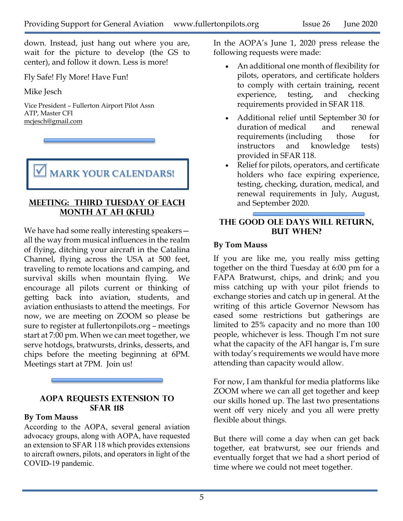down. Instead, just hang out where you are, wait for the picture to develop (the GS to center), and follow it down. Less is more!

Fly Safe! Fly More! Have Fun!

Mike Jesch

Vice President – Fullerton Airport Pilot Assn ATP, Master CFI mcjesch@gmail.com

**MARK YOUR CALENDARS!** 

#### **Meeting: Third Tuesday of each month at AFI (KFUL)**

We have had some really interesting speakers all the way from musical influences in the realm of flying, ditching your aircraft in the Catalina Channel, flying across the USA at 500 feet, traveling to remote locations and camping, and survival skills when mountain flying. We encourage all pilots current or thinking of getting back into aviation, students, and aviation enthusiasts to attend the meetings. For now, we are meeting on ZOOM so please be sure to register at fullertonpilots.org – meetings start at 7:00 pm. When we can meet together, we serve hotdogs, bratwursts, drinks, desserts, and chips before the meeting beginning at 6PM. Meetings start at 7PM. Join us!

#### **AOPA Requests Extension to SFAR 118**

#### **By Tom Mauss**

According to the AOPA, several general aviation advocacy groups, along with AOPA, have requested an extension to SFAR 118 which provides extensions to aircraft owners, pilots, and operators in light of the COVID-19 pandemic.

In the AOPA's June 1, 2020 press release the following requests were made:

- An additional one month of flexibility for pilots, operators, and certificate holders to comply with certain training, recent experience, testing, and checking requirements provided in SFAR 118.
- Additional relief until September 30 for duration of medical and renewal requirements (including those for instructors and knowledge tests) provided in SFAR 118.
- Relief for pilots, operators, and certificate holders who face expiring experience, testing, checking, duration, medical, and renewal requirements in July, August, and September 2020.

#### **The Good Ole Days Will Return, But When?**

#### **By Tom Mauss**

If you are like me, you really miss getting together on the third Tuesday at 6:00 pm for a FAPA Bratwurst, chips, and drink; and you miss catching up with your pilot friends to exchange stories and catch up in general. At the writing of this article Governor Newsom has eased some restrictions but gatherings are limited to 25% capacity and no more than 100 people, whichever is less. Though I'm not sure what the capacity of the AFI hangar is, I'm sure with today's requirements we would have more attending than capacity would allow.

For now, I am thankful for media platforms like ZOOM where we can all get together and keep our skills honed up. The last two presentations went off very nicely and you all were pretty flexible about things.

But there will come a day when can get back together, eat bratwurst, see our friends and eventually forget that we had a short period of time where we could not meet together.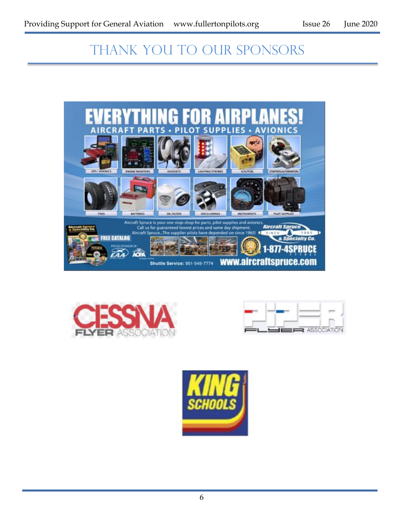## THANK YOU TO OUR SPONSORS